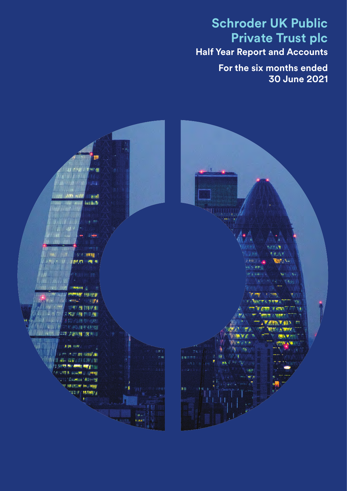## **Schroder UK Public Private Trust plc Half Year Report and Accounts**

**For the six months ended 30 June 2021**

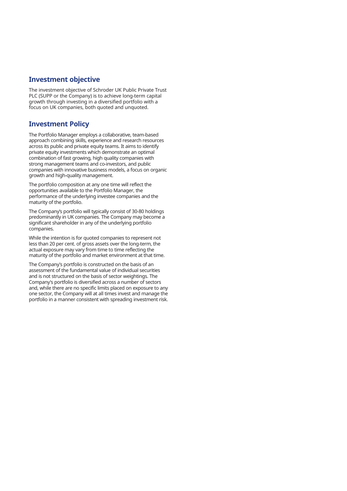### **Investment objective**

The investment objective of Schroder UK Public Private Trust PLC (SUPP or the Company) is to achieve long-term capital growth through investing in a diversified portfolio with a focus on UK companies, both quoted and unquoted.

## **Investment Policy**

The Portfolio Manager employs a collaborative, team-based approach combining skills, experience and research resources across its public and private equity teams. It aims to identify private equity investments which demonstrate an optimal combination of fast growing, high quality companies with strong management teams and co-investors, and public companies with innovative business models, a focus on organic growth and high-quality management.

The portfolio composition at any one time will reflect the opportunities available to the Portfolio Manager, the performance of the underlying investee companies and the maturity of the portfolio.

The Company's portfolio will typically consist of 30-80 holdings predominantly in UK companies. The Company may become a significant shareholder in any of the underlying portfolio companies.

While the intention is for quoted companies to represent not less than 20 per cent. of gross assets over the long-term, the actual exposure may vary from time to time reflecting the maturity of the portfolio and market environment at that time.

The Company's portfolio is constructed on the basis of an assessment of the fundamental value of individual securities and is not structured on the basis of sector weightings. The Company's portfolio is diversified across a number of sectors and, while there are no specific limits placed on exposure to any one sector, the Company will at all times invest and manage the portfolio in a manner consistent with spreading investment risk.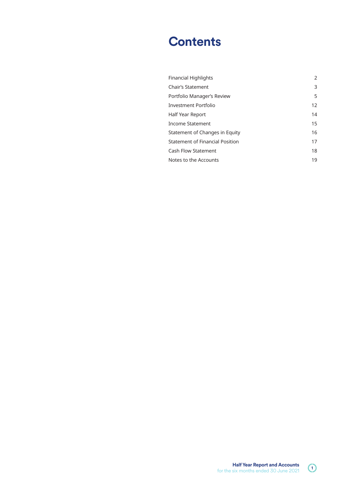## **Contents**

| <b>Financial Highlights</b>            | 2  |
|----------------------------------------|----|
| Chair's Statement                      | 3  |
| Portfolio Manager's Review             | 5  |
| <b>Investment Portfolio</b>            | 12 |
| Half Year Report                       | 14 |
| Income Statement                       | 15 |
| Statement of Changes in Equity         | 16 |
| <b>Statement of Financial Position</b> | 17 |
| <b>Cash Flow Statement</b>             | 18 |
| Notes to the Accounts                  | 19 |

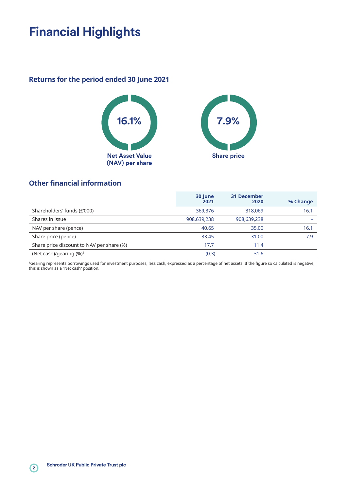## **Financial Highlights**

## **Returns for the period ended 30 June 2021**





## **Other financial information**

|                                           | 30 June<br>2021 | <b>31 December</b><br>2020 | % Change |
|-------------------------------------------|-----------------|----------------------------|----------|
| Shareholders' funds (£'000)               | 369,376         | 318,069                    | 16.1     |
| Shares in issue                           | 908,639,238     | 908,639,238                |          |
| NAV per share (pence)                     | 40.65           | 35.00                      | 16.1     |
| Share price (pence)                       | 33.45           | 31.00                      | 7.9      |
| Share price discount to NAV per share (%) | 17.7            | 11.4                       |          |
| (Net cash)/gearing $(\%)^1$               | (0.3)           | 31.6                       |          |

1Gearing represents borrowings used for investment purposes, less cash, expressed as a percentage of net assets. If the figure so calculated is negative, this is shown as a "Net cash" position.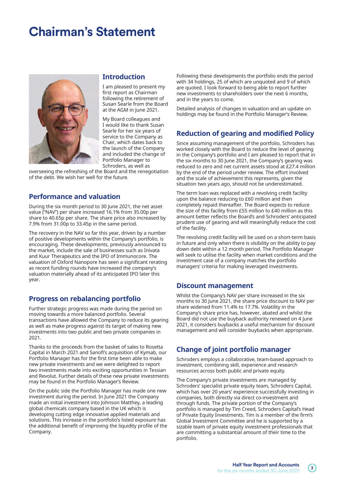## **Chairman's Statement**



#### **Introduction**

I am pleased to present my first report as Chairman following the retirement of Susan Searle from the Board at the AGM in June 2021.

My Board colleagues and I would like to thank Susan Searle for her six years of service to the Company as Chair, which dates back to the launch of the Company and included the change of Portfolio Manager to Schroders, as well as

overseeing the refreshing of the Board and the renegotiation of the debt. We wish her well for the future.

### **Performance and valuation**

During the six month period to 30 June 2021, the net asset value ("NAV") per share increased 16.1% from 35.00p per share to 40.65p per share. The share price also increased by 7.9% from 31.00p to 33.45p in the same period.

The recovery in the NAV so far this year, driven by a number of positive developments within the Company's portfolio, is encouraging. These developments, previously announced to the market, include the sale of businesses such as Inivata and Kuur Therapeutics and the IPO of Immunocore. The valuation of Oxford Nanopore has seen a significant rerating as recent funding rounds have increased the company's valuation materially ahead of its anticipated IPO later this year.

### **Progress on rebalancing portfolio**

Further strategic progress was made during the period on moving towards a more balanced portfolio. Several transactions have allowed the Company to reduce its gearing as well as make progress against its target of making new investments into two public and two private companies in 2021.

Thanks to the proceeds from the basket of sales to Rosetta Capital in March 2021 and Sanofi's acquisition of Kymab, our Portfolio Manager has for the first time been able to make new private investments and we were delighted to report two investments made into exciting opportunities in Tessian and Revolut. Further details of these new private investments may be found in the Portfolio Manager's Review.

On the public side the Portfolio Manager has made one new investment during the period. In June 2021 the Company made an initial investment into Johnson Matthey, a leading global chemicals company based in the UK which is developing cutting edge innovative applied materials and solutions. This increase in the portfolio's listed exposure has the additional benefit of improving the liquidity profile of the Company.

Following these developments the portfolio ends the period with 34 holdings, 25 of which are unquoted and 9 of which are quoted. I look forward to being able to report further new investments to shareholders over the next 6 months, and in the years to come.

Detailed analysis of changes in valuation and an update on holdings may be found in the Portfolio Manager's Review.

## **Reduction of gearing and modified Policy**

Since assuming management of the portfolio, Schroders has worked closely with the Board to reduce the level of gearing in the Company's portfolio and I am pleased to report that in the six months to 30 June 2021, the Company's gearing was reduced to zero and net current assets stood at £27.4 million by the end of the period under review. The effort involved and the scale of achievement this represents, given the situation two years ago, should not be underestimated.

The term loan was replaced with a revolving credit facility upon the balance reducing to £60 million and then completely repaid thereafter. The Board expects to reduce the size of this facility from £55 million to £40 million as this amount better reflects the Board's and Schroders' anticipated prudent use of gearing and will meaningfully reduce the cost of the facility.

The revolving credit facility will be used on a short-term basis in future and only when there is visibility on the ability to pay down debt within a 12 month period. The Portfolio Manager will seek to utilise the facility when market conditions and the investment case of a company matches the portfolio managers' criteria for making leveraged investments.

### **Discount management**

Whilst the Company's NAV per share increased in the six months to 30 June 2021, the share price discount to NAV per share widened from 11.4% to 17.7%. Volatility in the Company's share price has, however, abated and whilst the Board did not use the buyback authority renewed on 4 June 2021, it considers buybacks a useful mechanism for discount management and will consider buybacks when appropriate.

## **Change of joint portfolio manager**

Schroders employs a collaborative, team-based approach to investment, combining skill, experience and research resources across both public and private equity.

The Company's private investments are managed by Schroders' specialist private equity team, Schroders Capital, which has over 20 years' experience successfully investing in companies, both directly via direct co-investment and through funds. The private portion of the Company's portfolio is managed by Tim Creed, Schroders Capital's Head of Private Equity Investments. Tim is a member of the firm's Global Investment Committee and he is supported by a sizable team of private equity investment professionals that are committing a substantial amount of their time to the portfolio.

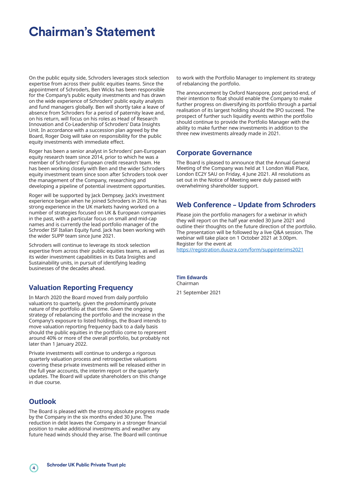## **Chairman's Statement**

On the public equity side, Schroders leverages stock selection expertise from across their public equities teams. Since the appointment of Schroders, Ben Wicks has been responsible for the Company's public equity investments and has drawn on the wide experience of Schroders' public equity analysts and fund managers globally. Ben will shortly take a leave of absence from Schroders for a period of paternity leave and, on his return, will focus on his roles as Head of Research Innovation and Co-Leadership of Schroders' Data Insights Unit. In accordance with a succession plan agreed by the Board, Roger Doig will take on responsibility for the public equity investments with immediate effect.

Roger has been a senior analyst in Schroders' pan-European equity research team since 2014, prior to which he was a member of Schroders' European credit research team. He has been working closely with Ben and the wider Schroders equity investment team since soon after Schroders took over the management of the Company, researching and developing a pipeline of potential investment opportunities.

Roger will be supported by Jack Dempsey. Jack's investment experience began when he joined Schroders in 2016. He has strong experience in the UK markets having worked on a number of strategies focused on UK & European companies in the past, with a particular focus on small and mid-cap names and is currently the lead portfolio manager of the Schroder ISF Italian Equity fund. Jack has been working with the wider SUPP team since June 2021.

Schroders will continue to leverage its stock selection expertise from across their public equities teams, as well as its wider investment capabilities in its Data Insights and Sustainability units, in pursuit of identifying leading businesses of the decades ahead.

## **Valuation Reporting Frequency**

In March 2020 the Board moved from daily portfolio valuations to quarterly, given the predominantly private nature of the portfolio at that time. Given the ongoing strategy of rebalancing the portfolio and the increase in the Company's exposure to listed holdings, the Board intends to move valuation reporting frequency back to a daily basis should the public equities in the portfolio come to represent around 40% or more of the overall portfolio, but probably not later than 1 January 2022.

Private investments will continue to undergo a rigorous quarterly valuation process and retrospective valuations covering these private investments will be released either in the full year accounts, the interim report or the quarterly updates. The Board will update shareholders on this change in due course.

### **Outlook**

The Board is pleased with the strong absolute progress made by the Company in the six months ended 30 June. The reduction in debt leaves the Company in a stronger financial position to make additional investments and weather any future head winds should they arise. The Board will continue

to work with the Portfolio Manager to implement its strategy of rebalancing the portfolio.

The announcement by Oxford Nanopore, post period-end, of their intention to float should enable the Company to make further progress on diversifying its portfolio through a partial realisation of its largest holding should the IPO succeed. The prospect of further such liquidity events within the portfolio should continue to provide the Portfolio Manager with the ability to make further new investments in addition to the three new investments already made in 2021.

### **Corporate Governance**

The Board is pleased to announce that the Annual General Meeting of the Company was held at 1 London Wall Place, London EC2Y 5AU on Friday, 4 June 2021. All resolutions as set out in the Notice of Meeting were duly passed with overwhelming shareholder support.

## **Web Conference – Update from Schroders**

Please join the portfolio managers for a webinar in which they will report on the half year ended 30 June 2021 and outline their thoughts on the future direction of the portfolio. The presentation will be followed by a live Q&A session. The webinar will take place on 1 October 2021 at 3.00pm. Register for the event at

https://registration.duuzra.com/form/suppinterims2021

#### **Tim Edwards** Chairman

21 September 2021

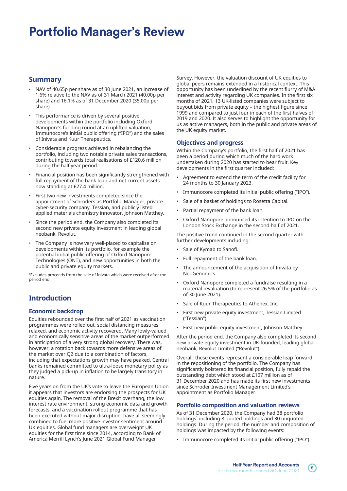## **Summary**

- NAV of 40.65p per share as of 30 June 2021, an increase of 1.6% relative to the NAV as of 31 March 2021 (40.00p per share) and 16.1% as of 31 December 2020 (35.00p per share).
- This performance is driven by several positive developments within the portfolio including Oxford Nanopore's funding round at an uplifted valuation, Immunocore's initial public offering ("IPO") and the sales of Inivata and Kuur Therapeutics.
- Considerable progress achieved in rebalancing the portfolio, including two notable private sales transactions, contributing towards total realisations of £120.6 million during the half year period.<sup>1</sup>
- Financial position has been significantly strengthened with full repayment of the bank loan and net current assets now standing at £27.4 million.
- First two new investments completed since the appointment of Schroders as Portfolio Manager, private cyber-security company, Tessian, and publicly listed applied materials chemistry innovator, Johnson Matthey.
- Since the period end, the Company also completed its second new private equity investment in leading global neobank, Revolut.
- The Company is now very well-placed to capitalise on developments within its portfolio, for example the potential initial public offering of Oxford Nanopore Technologies (ONT), and new opportunities in both the public and private equity markets.

1Excludes proceeds from the sale of Inivata which were received after the period end.

## **Introduction**

### **Economic backdrop**

Equities rebounded over the first half of 2021 as vaccination programmes were rolled out, social distancing measures relaxed, and economic activity recovered. Many lowly-valued and economically sensitive areas of the market outperformed in anticipation of a very strong global recovery. There was, however, a rotation back towards more defensive areas of the market over Q2 due to a combination of factors, including that expectations growth may have peaked. Central banks remained committed to ultra-loose monetary policy as they judged a pick-up in inflation to be largely transitory in nature.

Five years on from the UK's vote to leave the European Union it appears that investors are endorsing the prospects for UK equities again. The removal of the Brexit overhang, the low interest rate environment, strong economic data and growth forecasts, and a vaccination rollout programme that has been executed without major disruption, have all seemingly combined to fuel more positive investor sentiment around UK equities. Global fund managers are overweight UK equities for the first time since 2014, according to Bank of America Merrill Lynch's June 2021 Global Fund Manager

Survey. However, the valuation discount of UK equities to global peers remains extended in a historical context. This opportunity has been underlined by the recent flurry of M&A interest and activity regarding UK companies. In the first six months of 2021, 13 UK-listed companies were subject to buyout bids from private equity – the highest figure since 1999 and compared to just four in each of the first halves of 2019 and 2020. It also serves to highlight the opportunity for us as active managers, both in the public and private areas of the UK equity market.

#### **Objectives and progress**

Within the Company's portfolio, the first half of 2021 has been a period during which much of the hard work undertaken during 2020 has started to bear fruit. Key developments in the first quarter included:

- Agreement to extend the term of the credit facility for 24 months to 30 January 2023.
- Immunocore completed its initial public offering ("IPO").
- Sale of a basket of holdings to Rosetta Capital.
- Partial repayment of the bank loan.
- Oxford Nanopore announced its intention to IPO on the London Stock Exchange in the second half of 2021.

The positive trend continued in the second quarter with further developments including:

- Sale of Kymab to Sanofi.
- Full repayment of the bank loan.
- The announcement of the acquisition of Inivata by NeoGenomics.
- Oxford Nanopore completed a fundraise resulting in a material revaluation (to represent 26.5% of the portfolio as of 30 June 2021).
- Sale of Kuur Therapeutics to Athenex, Inc.
- First new private equity investment, Tessian Limited ("Tessian").
- First new public equity investment, Johnson Matthey.

After the period end, the Company also completed its second new private equity investment in UK-founded, leading global neobank, Revolut Limited ("Revolut").

Overall, these events represent a considerable leap forward in the repositioning of the portfolio. The Company has significantly bolstered its financial position, fully repaid the outstanding debt which stood at £107 million as of 31 December 2020 and has made its first new investments since Schroder Investment Management Limited's appointment as Portfolio Manager.

### **Portfolio composition and valuation reviews**

As of 31 December 2020, the Company had 38 portfolio holdings<sup>1</sup> including 8 quoted holdings and 30 unquoted holdings. During the period, the number and composition of holdings was impacted by the following events:

• Immunocore completed its initial public offering ("IPO").

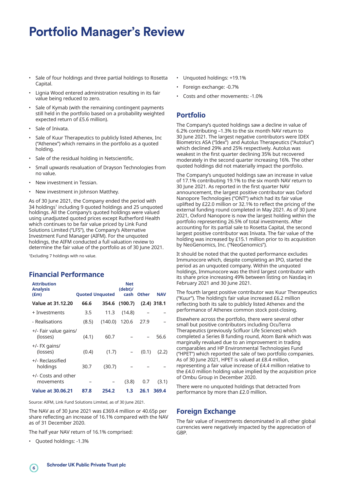- Sale of four holdings and three partial holdings to Rosetta Capital.
- Lignia Wood entered administration resulting in its fair value being reduced to zero.
- Sale of Kymab (with the remaining contingent payments still held in the portfolio based on a probability weighted expected return of £5.6 million).
- Sale of Inivata.
- Sale of Kuur Therapeutics to publicly listed Athenex, Inc. ("Athenex") which remains in the portfolio as a quoted holding.
- Sale of the residual holding in Netscientific.
- Small upwards revaluation of Drayson Technologies from no value.
- New investment in Tessian.
- New investment in Johnson Matthey.

As of 30 June 2021, the Company ended the period with 34 holdings<sup>1</sup> including 9 quoted holdings and 25 unquoted holdings. All the Company's quoted holdings were valued using unadjusted quoted prices except Rutherford Health which continues to be fair value priced by Link Fund Solutions Limited ("LFS"), the Company's Alternative Investment Fund Manager (AIFM). For the unquoted holdings, the AIFM conducted a full valuation review to determine the fair value of the portfolio as of 30 June 2021.

<sup>1</sup>Excluding 7 holdings with no value.

## **Financial Performance**

| <b>Attribution</b><br><b>Analysis</b><br>(f.m) | <b>Quoted Unquoted</b> |         | <b>Net</b><br>(debt)/<br>cash | <b>Other</b> | <b>NAV</b>    |
|------------------------------------------------|------------------------|---------|-------------------------------|--------------|---------------|
| <b>Value at 31.12.20</b>                       | 66.6                   | 354.6   | (100.7)                       |              | $(2.4)$ 318.1 |
| + Investments                                  | 3.5                    | 11.3    | (14.8)                        |              |               |
| - Realisations                                 | (8.5)                  | (140.0) | 120.6                         | 27.9         |               |
| +/- Fair value gains/<br>(losses)              | (4.1)                  | 60.7    |                               |              | 56.6          |
| +/- FX gains/<br>(losses)                      | (0.4)                  | (1.7)   |                               | (0.1)        | (2.2)         |
| +/- Reclassified<br>holdings                   | 30.7                   | (30.7)  |                               |              |               |
| +/- Costs and other<br>movements               |                        |         | (3.8)                         | 0.7          | (3.1)         |
| <b>Value at 30.06.21</b>                       | 87.8                   | 254.2   | 1.3                           | 26.1         | 369.4         |

Source: AIFM, Link Fund Solutions Limited, as of 30 June 2021.

The NAV as of 30 June 2021 was £369.4 million or 40.65p per share reflecting an increase of 16.1% compared with the NAV as of 31 December 2020.

The half year NAV return of 16.1% comprised:

• Quoted holdings: -1.3%

- Unquoted holdings: +19.1%
- Foreign exchange: -0.7%
- Costs and other movements: -1.0%

### **Portfolio**

The Company's quoted holdings saw a decline in value of 6.2% contributing –1.3% to the six month NAV return to 30 June 2021. The largest negative contributors were IDEX Biometrics ASA ("Idex") and Autolus Therapeutics ("Autolus") which declined 29% and 25% respectively. Autolus was weakest in the first quarter declining 35% but recovered moderately in the second quarter increasing 16%. The other quoted holdings did not materially impact the portfolio.

The Company's unquoted holdings saw an increase in value of 17.1% contributing 19.1% to the six month NAV return to 30 June 2021. As reported in the first quarter NAV announcement, the largest positive contributor was Oxford Nanopore Technologies ("ONT") which had its fair value uplifted by £22.0 million or 32.1% to reflect the pricing of the external funding round completed in May 2021. As of 30 June 2021, Oxford Nanopore is now the largest holding within the portfolio representing 26.5% of total investments. After accounting for its partial sale to Rosetta Capital, the second largest positive contributor was Inivata. The fair value of the holding was increased by £15.1 million prior to its acquisition by NeoGenomics, Inc. ("NeoGenomics").

It should be noted that the quoted performance excludes Immunocore which, despite completing an IPO, started the period as an unquoted company. Within the unquoted holdings, Immunocore was the third largest contributor with its share price increasing 49% between listing on Nasdaq in February 2021 and 30 June 2021.

The fourth largest positive contributor was Kuur Therapeutics ("Kuur"). The holding's fair value increased £6.2 million reflecting both its sale to publicly listed Athenex and the performance of Athenex common stock post-closing.

Elsewhere across the portfolio, there were several other small but positive contributors including OcuTerra Therapeutics (previously Scifluor Life Sciences) which completed a Series B funding round, Atom Bank which was marginally revalued due to an improvement in trading comparables and HP Environmental Technologies Fund ("HPET") which reported the sale of two portfolio companies. As of 30 June 2021, HPET is valued at £8.4 million, representing a fair value increase of £4.4 million relative to the £4.0 million holding value implied by the acquisition price of Ombu Group in December 2020.

There were no unquoted holdings that detracted from performance by more than £2.0 million.

## **Foreign Exchange**

The fair value of investments denominated in all other global currencies were negatively impacted by the appreciation of GBP.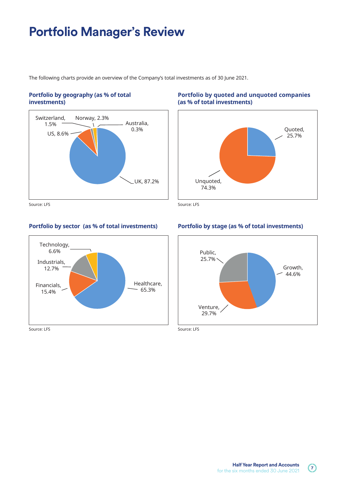The following charts provide an overview of the Company's total investments as of 30 June 2021.

### **Portfolio by geography (as % of total investments)**



Source: LFS Source: LFS

### **Portfolio by sector (as % of total investments) Portfolio by stage (as % of total investments)**



### **Portfolio by quoted and unquoted companies (as % of total investments)**



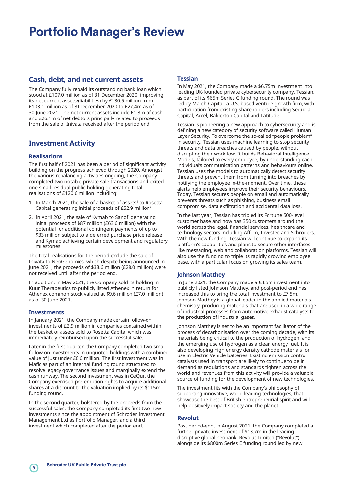### **Cash, debt, and net current assets**

The Company fully repaid its outstanding bank loan which stood at £107.0 million as of 31 December 2020, improving its net current assets/(liabilities) by £130.5 million from – £103.1 million as of 31 December 2020 to £27.4m as of 30 June 2021. The net current assets include £1.3m of cash and £26.1m of net debtors principally related to proceeds from the sale of Inivata received after the period end.

## **Investment Activity**

#### **Realisations**

The first half of 2021 has been a period of significant activity building on the progress achieved through 2020. Amongst the various rebalancing activities ongoing, the Company completed two notable private sale transactions and exited one small residual public holding generating total realisations of £120.6 million including:

- 1. In March 2021, the sale of a basket of assets<sup>1</sup> to Rosetta Capital generating initial proceeds of £52.9 million2.
- 2. In April 2021, the sale of Kymab to Sanofi generating initial proceeds of \$87 million (£63.6 million) with the potential for additional contingent payments of up to \$33 million subject to a deferred purchase price release and Kymab achieving certain development and regulatory milestones.

The total realisations for the period exclude the sale of Inivata to NeoGenomics, which despite being announced in June 2021, the proceeds of \$38.6 million (£28.0 million) were not received until after the period end.

In addition, in May 2021, the Company sold its holding in Kuur Therapeutics to publicly listed Athenex in return for Athenex common stock valued at \$9.6 million (£7.0 million) as of 30 June 2021.

#### **Investments**

In January 2021, the Company made certain follow-on investments of £2.9 million in companies contained within the basket of assets sold to Rosetta Capital which was immediately reimbursed upon the successful sale.

Later in the first quarter, the Company completed two small follow-on investments in unquoted holdings with a combined value of just under £0.6 million. The first investment was in Mafic as part of an internal funding round structured to resolve legacy governance issues and marginally extend the cash runway. The second investment was in CeQur, the Company exercised pre-emption rights to acquire additional shares at a discount to the valuation implied by its \$115m funding round.

In the second quarter, bolstered by the proceeds from the successful sales, the Company completed its first two new investments since the appointment of Schroder Investment Management Ltd as Portfolio Manager, and a third investment which completed after the period end.

#### **Tessian**

In May 2021, the Company made a \$6.75m investment into leading UK-founded private cybersecurity company, Tessian, as part of its \$65m Series C funding round. The round was led by March Capital, a U.S.-based venture growth firm, with participation from existing shareholders including Sequoia Capital, Accel, Balderton Capital and Latitude.

Tessian is pioneering a new approach to cybersecurity and is defining a new category of security software called Human Layer Security. To overcome the so-called "people problem" in security, Tessian uses machine learning to stop security threats and data breaches caused by people, without disrupting their workflow. It builds Behavioral Intelligence Models, tailored to every employee, by understanding each individual's communication patterns and behaviours online. Tessian uses the models to automatically detect security threats and prevent them from turning into breaches by notifying the employee in-the-moment. Over time, these alerts help employees improve their security behaviours. Today, Tessian secures people on email and automatically prevents threats such as phishing, business email compromise, data exfiltration and accidental data loss.

In the last year, Tessian has tripled its Fortune 500-level customer base and now has 350 customers around the world across the legal, financial services, healthcare and technology sectors including Affirm, Investec and Schroders. With the new funding, Tessian will continue to expand its platform's capabilities and plans to secure other interfaces like messaging, web and collaboration platforms. Tessian will also use the funding to triple its rapidly growing employee base, with a particular focus on growing its sales team.

#### **Johnson Matthey**

In June 2021, the Company made a £3.5m investment into publicly listed Johnson Matthey, and post-period end has increased this to bring the total investment to £7.5m. Johnson Matthey is a global leader in the applied materials chemistry, producing materials that are used in a wide range of industrial processes from automotive exhaust catalysts to the production of industrial gases.

Johnson Matthey is set to be an important facilitator of the process of decarbonisation over the coming decade, with its materials being critical to the production of hydrogen, and the emerging use of hydrogen as a clean energy fuel. It is also developing high energy density cathode materials for use in Electric Vehicle batteries. Existing emission control catalysts used in transport are likely to continue to be in demand as regulations and standards tighten across the world and revenues from this activity will provide a valuable source of funding for the development of new technologies.

The investment fits with the Company's philosophy of supporting innovative, world leading technologies, that showcase the best of British entrepreneurial spirit and will help positively impact society and the planet.

#### **Revolut**

Post period-end, in August 2021, the Company completed a further private investment of \$13.7m in the leading disruptive global neobank, Revolut Limited ("Revolut") alongside its \$800m Series E funding round led by new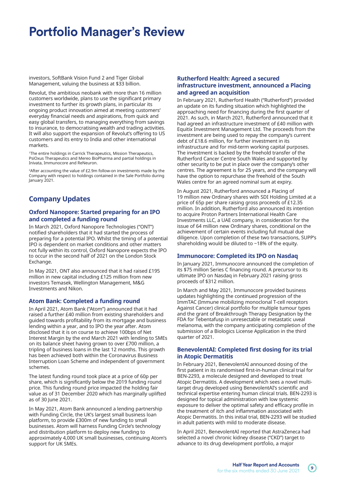investors, SoftBank Vision Fund 2 and Tiger Global Management, valuing the business at \$33 billion.

Revolut, the ambitious neobank with more than 16 million customers worldwide, plans to use the significant primary investment to further its growth plans, in particular its ongoing product innovation aimed at meeting customers' everyday financial needs and aspirations, from quick and easy global transfers, to managing everything from savings to insurance, to democratising wealth and trading activities. It will also support the expansion of Revolut's offering to US customers and its entry to India and other international markets.

<sup>1</sup>The entire holdings in Carrick Therapeutics, Mission Therapeutics, PsiOxus Therapeutics and Mereo BioPharma and partial holdings in Inivata, Immunocore and ReNeuron.

2After accounting the value of £2.9m follow-on investments made by the Company with respect to holdings contained in the Sale Portfolio during January 2021.

## **Company Updates**

#### **Oxford Nanopore: Started preparing for an IPO and completed a funding round**

In March 2021, Oxford Nanopore Technologies ("ONT") notified shareholders that it had started the process of preparing for a potential IPO. Whilst the timing of a potential IPO is dependent on market conditions and other matters not fully within its control, Oxford Nanopore expects the IPO to occur in the second half of 2021 on the London Stock Exchange.

In May 2021, ONT also announced that it had raised £195 million in new capital including £125 million from new investors Temasek, Wellington Management, M&G Investments and Nikon.

### **Atom Bank: Completed a funding round**

In April 2021, Atom Bank ("Atom") announced that it had raised a further £40 million from existing shareholders and guided towards profitability from its mortgage and business lending within a year, and to IPO the year after. Atom disclosed that it is on course to achieve 100bps of Net Interest Margin by the end March 2021 with lending to SMEs on its balance sheet having grown to over £700 million, a tripling of business loans in the last 12 months. This growth has been achieved both within the Coronavirus Business Interruption Loan Scheme and independent of government schemes.

The latest funding round took place at a price of 60p per share, which is significantly below the 2019 funding round price. This funding round price impacted the holding fair value as of 31 December 2020 which has marginally uplifted as of 30 June 2021.

In May 2021, Atom Bank announced a lending partnership with Funding Circle, the UK's largest small business loan platform, to provide £300m of new funding to small businesses. Atom will harness Funding Circle's technology and distribution platform to deploy new funding to approximately 4,000 UK small businesses, continuing Atom's support for UK SMEs.

#### **Rutherford Health: Agreed a secured infrastructure investment, announced a Placing and agreed an acquisition**

In February 2021, Rutherford Health ("Rutherford") provided an update on its funding situation which highlighted the approaching need for financing during the first quarter of 2021. As such, in March 2021, Rutherford announced that it had agreed an infrastructure investment of £40 million with Equitix Investment Management Ltd. The proceeds from the investment are being used to repay the company's current debt of £18.6 million, for further investment in its infrastructure and for mid-term working capital purposes. The investment is backed by the freehold transfer of the Rutherford Cancer Centre South Wales and supported by other security to be put in place over the company's other centres. The agreement is for 25 years, and the company will have the option to repurchase the freehold of the South Wales centre for an agreed nominal sum at expiry.

In August 2021, Rutherford announced a Placing of 19 million new Ordinary shares with SDI Holding Limited at a price of 65p per share raising gross proceeds of £12.35 million. In addition, Rutherford also announced its intention to acquire Proton Partners International Health Care Investments LLC, a UAE company, in consideration for the issue of 64 million new Ordinary shares, conditional on the achievement of certain events including full mutual due diligence. Upon completion of these two transactions, SUPP's shareholding would be diluted to ~18% of the equity.

### **Immunocore: Completed its IPO on Nasdaq**

In January 2021, Immunocore announced the completion of its \$75 million Series C financing round. A precursor to its ultimate IPO on Nasdaq in February 2021 raising gross proceeds of \$312 million.

In March and May 2021, Immunocore provided business updates highlighting the continued progression of the ImmTAC (Immune mobilizing monoclonal T-cell receptors Against Cancer) clinical portfolio for multiple tumour types and the grant of Breakthrough Therapy Designation by the FDA for Tebentafusp in unresectable or metastatic uveal melanoma, with the company anticipating completion of the submission of a Biologics License Application in the third quarter of 2021.

#### **BenevolentAI: Completed first dosing for its trial in Atopic Dermatitis**

In February 2021, BenevolentAI announced dosing of the first patient in its randomised first-in-human clinical trial for BEN-2293, a molecule designed and developed to treat Atopic Dermatitis. A development which sees a novel multitarget drug developed using BenevolentAI's scientific and technical expertise entering human clinical trials. BEN-2293 is designed for topical administration with low systemic exposure to deliver the optimal safety and efficacy profile in the treatment of itch and inflammation associated with Atopic Dermatitis. In this initial trial, BEN-2293 will be studied in adult patients with mild to moderate disease.

In April 2021, BenevolentAI reported that AstraZeneca had selected a novel chronic kidney disease ("CKD") target to advance to its drug development portfolio, a major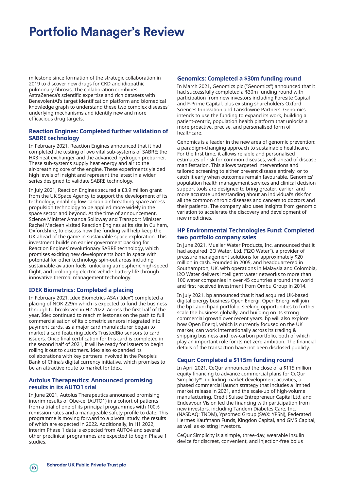milestone since formation of the strategic collaboration in 2019 to discover new drugs for CKD and idiopathic pulmonary fibrosis. The collaboration combines AstraZeneca's scientific expertise and rich datasets with BenevolentAI's target identification platform and biomedical knowledge graph to understand these two complex diseases' underlying mechanisms and identify new and more efficacious drug targets.

#### **Reaction Engines: Completed further validation of SABRE technology**

In February 2021, Reaction Engines announced that it had completed the testing of two vital sub-systems of SABRE; the HX3 heat exchanger and the advanced hydrogen preburner. These sub-systems supply heat energy and air to the air-breathing core of the engine. These experiments yielded high levels of insight and represent the latest in a wider series designed to validate SABRE technology.

In July 2021, Reaction Engines secured a £3.9 million grant from the UK Space Agency to support the development of its technology, enabling low-carbon air-breathing space access propulsion technology to be applied more widely in the space sector and beyond. At the time of announcement, Science Minister Amanda Solloway and Transport Minister Rachel Maclean visited Reaction Engines at its site in Culham, Oxfordshire, to discuss how the funding will help keep the UK ahead of the game in sustainable space exploration. This investment builds on earlier government backing for Reaction Engines' revolutionary SABRE technology, which promises exciting new developments both in space with potential for other technology spin-out areas including sustainable aviation fuels, unlocking atmospheric high-speed flight, and prolonging electric vehicle battery life through innovative thermal management technology.

### **IDEX Biometrics: Completed a placing**

In February 2021, Idex Biometrics ASA ("Idex") completed a placing of NOK 229m which is expected to fund the business through to breakeven in H2 2022. Across the first half of the year, Idex continued to reach milestones on the path to full commercialisation of its biometric sensors integrated into payment cards, as a major card manufacturer began to market a card featuring Idex's TrustedBio sensors to card issuers. Once final certification for this card is completed in the second half of 2021, it will be ready for issuers to begin rolling it out to customers. Idex also expanded its collaborations with key partners involved in the People's Bank of China's digital currency initiative, which promises to be an attractive route to market for Idex.

#### **Autolus Therapeutics: Announced promising results in its AUTO1 trial**

In June 2021, Autolus Therapeutics announced promising interim results of Obe-cel (AUTO1) in a cohort of patients from a trial of one of its principal programmes with 100% remission rates and a manageable safety profile to date. This programme is moving forward to a pivotal study, the results of which are expected in 2022. Additionally, in H1 2022, interim Phase 1 data is expected from AUTO4 and several other preclinical programmes are expected to begin Phase 1 studies.

#### **Genomics: Completed a \$30m funding round**

In March 2021, Genomics plc ("Genomics") announced that it had successfully completed a \$30m funding round with participation from new investors including Foresite Capital and F-Prime Capital, plus existing shareholders Oxford Sciences Innovation and Lansdowne Partners. Genomics intends to use the funding to expand its work, building a patient-centric, population health platform that unlocks a more proactive, precise, and personalised form of healthcare.

Genomics is a leader in the new area of genomic prevention: a paradigm-changing approach to sustainable healthcare. For the first time, it allows reliable and personalised estimates of risk for common diseases, well ahead of disease manifestation. This allows targeted interventions and tailored screening to either prevent disease entirely, or to catch it early when outcomes remain favourable. Genomics' population health management services and clinical decision support tools are designed to bring greater, earlier, and more accurate understanding about an individual's risk for all the common chronic diseases and cancers to doctors and their patients. The company also uses insights from genomic variation to accelerate the discovery and development of new medicines.

#### **HP Environmental Technologies Fund: Completed two portfolio company sales**

In June 2021, Mueller Water Products, Inc. announced that it had acquired i2O Water, Ltd. ("i2O Water"), a provider of pressure management solutions for approximately \$20 million in cash. Founded in 2005, and headquartered in Southampton, UK, with operations in Malaysia and Colombia, i2O Water delivers intelligent water networks to more than 100 water companies in over 45 countries around the world and first received investment from Ombu Group in 2014.

In July 2021, bp announced that it had acquired UK-based digital energy business Open Energi. Open Energi will join the bp Launchpad portfolio, seeking opportunities to further scale the business globally, and building on its strong commercial growth over recent years. bp will also explore how Open Energi, which is currently focused on the UK market, can work internationally across its trading & shipping business and low-carbon portfolio, both of which play an important role for its net zero ambition. The financial details of the transaction have not been disclosed publicly.

### **Cequr: Completed a \$115m funding round**

In April 2021, CeQur announced the close of a \$115 million equity financing to advance commercial plans for CeQur Simplicity™, including market development activities, a phased commercial launch strategy that includes a limited market release in 2021, and the scale-up of high-volume manufacturing. Credit Suisse Entrepreneur Capital Ltd. and Endeavour Vision led the financing with participation from new investors, including Tandem Diabetes Care, Inc. (NASDAQ: TNDM), Ypsomed Group (SWX: YPSN), Federated Hermes Kaufmann Funds, Kingdon Capital, and GMS Capital, as well as existing investors.

CeQur Simplicity is a simple, three-day, wearable insulin device for discreet, convenient, and injection-free bolus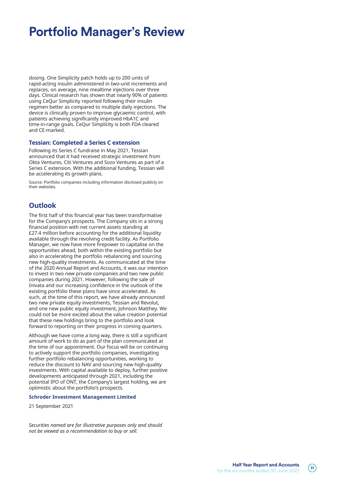dosing. One Simplicity patch holds up to 200 units of rapid-acting insulin administered in two-unit increments and replaces, on average, nine mealtime injections over three days. Clinical research has shown that nearly 90% of patients using CeQur Simplicity reported following their insulin regimen better as compared to multiple daily injections. The device is clinically proven to improve glycaemic control, with patients achieving significantly improved HbA1C and time-in-range goals. CeQur Simplicity is both FDA cleared and CE-marked.

#### **Tessian: Completed a Series C extension**

Following its Series C fundraise in May 2021, Tessian announced that it had received strategic investment from Okta Ventures, Citi Ventures and Sozo Ventures as part of a Series C extension. With the additional funding, Tessian will be accelerating its growth plans.

Source: Portfolio companies including information disclosed publicly on their websites.

## **Outlook**

The first half of this financial year has been transformative for the Company's prospects. The Company sits in a strong financial position with net current assets standing at £27.4 million before accounting for the additional liquidity available through the revolving credit facility. As Portfolio Manager, we now have more firepower to capitalise on the opportunities ahead, both within the existing portfolio but also in accelerating the portfolio rebalancing and sourcing new high-quality investments. As communicated at the time of the 2020 Annual Report and Accounts, it was our intention to invest in two new private companies and two new public companies during 2021. However, following the sale of Inivata and our increasing confidence in the outlook of the existing portfolio these plans have since accelerated. As such, at the time of this report, we have already announced two new private equity investments, Tessian and Revolut, and one new public equity investment, Johnson Matthey. We could not be more excited about the value creation potential that these new holdings bring to the portfolio and look forward to reporting on their progress in coming quarters.

Although we have come a long way, there is still a significant amount of work to do as part of the plan communicated at the time of our appointment. Our focus will be on continuing to actively support the portfolio companies, investigating further portfolio rebalancing opportunities, working to reduce the discount to NAV and sourcing new high-quality investments. With capital available to deploy, further positive developments anticipated through 2021, including the potential IPO of ONT, the Company's largest holding, we are optimistic about the portfolio's prospects.

#### **Schroder Investment Management Limited**

21 September 2021

*Securities named are for illustrative purposes only and should not be viewed as a recommendation to buy or sell.*

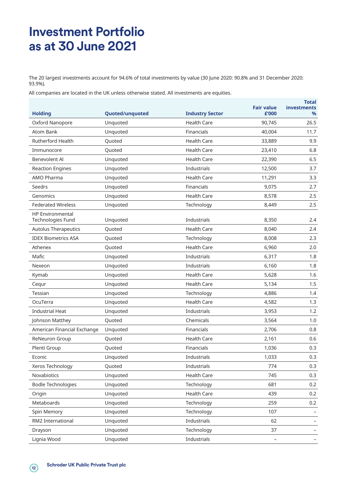## **Investment Portfolio as at 30 June 2021**

The 20 largest investments account for 94.6% of total investments by value (30 June 2020: 90.8% and 31 December 2020: 93.9%).

All companies are located in the UK unless otherwise stated. All investments are equities.

| <b>Holding</b>                               | Quoted/unquoted | <b>Industry Sector</b> | <b>Fair value</b><br>£'000 | Total<br><b>investments</b><br>% |
|----------------------------------------------|-----------------|------------------------|----------------------------|----------------------------------|
| Oxford Nanopore                              | Unquoted        | <b>Health Care</b>     | 90,745                     | 26.5                             |
| <b>Atom Bank</b>                             | Unquoted        | Financials             | 40,004                     | 11.7                             |
| <b>Rutherford Health</b>                     | Quoted          | <b>Health Care</b>     | 33,889                     | 9.9                              |
| Immunocore                                   | Quoted          | <b>Health Care</b>     | 23,410                     | 6.8                              |
| Benevolent Al                                | Unquoted        | <b>Health Care</b>     | 22,390                     | 6.5                              |
| <b>Reaction Engines</b>                      | Unquoted        | Industrials            | 12,500                     | 3.7                              |
| AMO Pharma                                   | Unquoted        | <b>Health Care</b>     | 11,291                     | 3.3                              |
| Seedrs                                       | Unquoted        | Financials             | 9,075                      | 2.7                              |
| Genomics                                     | Unquoted        | <b>Health Care</b>     | 8,578                      | 2.5                              |
| <b>Federated Wireless</b>                    | Unquoted        | Technology             | 8,449                      | 2.5                              |
| <b>HP Environmental</b><br>Technologies Fund | Unquoted        | Industrials            | 8,350                      | 2.4                              |
| <b>Autolus Therapeutics</b>                  | Quoted          | <b>Health Care</b>     | 8,040                      | 2.4                              |
| <b>IDEX Biometrics ASA</b>                   | Quoted          | Technology             | 8,008                      | 2.3                              |
| Athenex                                      | Quoted          | <b>Health Care</b>     | 6,960                      | 2.0                              |
| Mafic                                        | Unquoted        | Industrials            | 6,317                      | 1.8                              |
| Nexeon                                       | Unquoted        | Industrials            | 6,160                      | 1.8                              |
| Kymab                                        | Unquoted        | <b>Health Care</b>     | 5,628                      | 1.6                              |
| Cequr                                        | Unquoted        | <b>Health Care</b>     | 5,134                      | 1.5                              |
| Tessian                                      | Unquoted        | Technology             | 4,886                      | 1.4                              |
| OcuTerra                                     | Unquoted        | <b>Health Care</b>     | 4,582                      | 1.3                              |
| <b>Industrial Heat</b>                       | Unquoted        | Industrials            | 3,953                      | 1.2                              |
| Johnson Matthey                              | Quoted          | Chemicals              | 3,564                      | 1.0                              |
| American Financial Exchange                  | Unquoted        | Financials             | 2,706                      | 0.8                              |
| ReNeuron Group                               | Quoted          | <b>Health Care</b>     | 2,161                      | 0.6                              |
| Plenti Group                                 | Ouoted          | Financials             | 1,036                      | 0.3                              |
| Econic                                       | Unquoted        | Industrials            | 1,033                      | 0.3                              |
| Xeros Technology                             | Quoted          | Industrials            | 774                        | 0.3                              |
| Novabiotics                                  | Unquoted        | Health Care            | 745                        | 0.3                              |
| <b>Bodle Technologies</b>                    | Unquoted        | Technology             | 681                        | 0.2                              |
| Origin                                       | Unquoted        | Health Care            | 439                        | 0.2                              |
| Metaboards                                   | Unquoted        | Technology             | 259                        | 0.2                              |
| Spin Memory                                  | Unquoted        | Technology             | 107                        |                                  |
| RM2 International                            | Unquoted        | Industrials            | 62                         |                                  |
| Drayson                                      | Unquoted        | Technology             | 37                         |                                  |
| Lignia Wood                                  | Unquoted        | Industrials            |                            |                                  |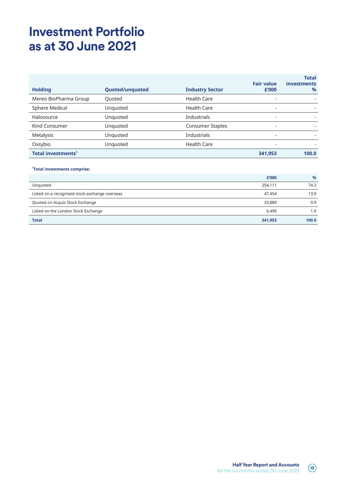## **Investment Portfolio as at 30 June 2021**

|                                |                        |                         | <b>Fair value</b>        | <b>Total</b><br><b>investments</b> |
|--------------------------------|------------------------|-------------------------|--------------------------|------------------------------------|
| <b>Holding</b>                 | <b>Quoted/unquoted</b> | <b>Industry Sector</b>  | £'000                    | $\%$                               |
| Mereo BioPharma Group          | Quoted                 | <b>Health Care</b>      |                          |                                    |
| Sphere Medical                 | Unquoted               | <b>Health Care</b>      | $\overline{\phantom{a}}$ |                                    |
| Halosource                     | Unquoted               | <b>Industrials</b>      | ۰                        |                                    |
| Kind Consumer                  | Unquoted               | <b>Consumer Staples</b> |                          |                                    |
| Metalysis                      | Unquoted               | <b>Industrials</b>      |                          |                                    |
| Oxsybio                        | Unquoted               | <b>Health Care</b>      |                          |                                    |
| Total investments <sup>1</sup> |                        |                         | 341,953                  | 100.0                              |

#### **1 Total investments comprise:**

|                                                | £'000   | $\%$  |
|------------------------------------------------|---------|-------|
| Unquoted                                       | 254,111 | 74.3  |
| Listed on a recognised stock exchange overseas | 47.454  | 13.9  |
| Quoted on Acquis Stock Exchange                | 33,889  | 9.9   |
| Listed on the London Stock Exchange            | 6.499   | 1.9   |
| <b>Total</b>                                   | 341,953 | 100.0 |

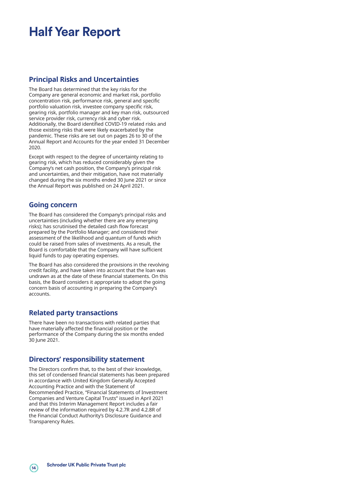## **Half Year Report**

## **Principal Risks and Uncertainties**

The Board has determined that the key risks for the Company are general economic and market risk, portfolio concentration risk, performance risk, general and specific portfolio valuation risk, investee company specific risk, gearing risk, portfolio manager and key man risk, outsourced service provider risk, currency risk and cyber risk. Additionally, the Board identified COVID-19 related risks and those existing risks that were likely exacerbated by the pandemic. These risks are set out on pages 26 to 30 of the Annual Report and Accounts for the year ended 31 December 2020.

Except with respect to the degree of uncertainty relating to gearing risk, which has reduced considerably given the Company's net cash position, the Company's principal risk and uncertainties, and their mitigation, have not materially changed during the six months ended 30 June 2021 or since the Annual Report was published on 24 April 2021.

## **Going concern**

The Board has considered the Company's principal risks and uncertainties (including whether there are any emerging risks); has scrutinised the detailed cash flow forecast prepared by the Portfolio Manager; and considered their assessment of the likelihood and quantum of funds which could be raised from sales of investments. As a result, the Board is comfortable that the Company will have sufficient liquid funds to pay operating expenses.

The Board has also considered the provisions in the revolving credit facility, and have taken into account that the loan was undrawn as at the date of these financial statements. On this basis, the Board considers it appropriate to adopt the going concern basis of accounting in preparing the Company's accounts.

## **Related party transactions**

There have been no transactions with related parties that have materially affected the financial position or the performance of the Company during the six months ended 30 June 2021.

### **Directors' responsibility statement**

The Directors confirm that, to the best of their knowledge, this set of condensed financial statements has been prepared in accordance with United Kingdom Generally Accepted Accounting Practice and with the Statement of Recommended Practice, "Financial Statements of Investment Companies and Venture Capital Trusts" issued in April 2021 and that this Interim Management Report includes a fair review of the information required by 4.2.7R and 4.2.8R of the Financial Conduct Authority's Disclosure Guidance and Transparency Rules.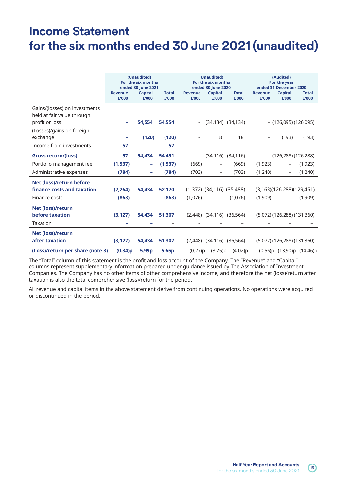## **Income Statement for the six months ended 30 June 2021 (unaudited)**

|                                                                               | <b>Revenue</b><br>£'000 | (Unaudited)<br>For the six months<br>ended 30 June 2021<br><b>Capital</b><br>£'000 | <b>Total</b><br>£'000 | <b>Revenue</b><br>£'000  | (Unaudited)<br>For the six months<br>ended 30 June 2020<br><b>Capital</b><br>£'000 | <b>Total</b><br>£'000   | <b>Revenue</b><br>£'000 | (Audited)<br>For the year<br>ended 31 December 2020<br><b>Capital</b><br>£'000 | <b>Total</b><br>£'000 |
|-------------------------------------------------------------------------------|-------------------------|------------------------------------------------------------------------------------|-----------------------|--------------------------|------------------------------------------------------------------------------------|-------------------------|-------------------------|--------------------------------------------------------------------------------|-----------------------|
| Gains/(losses) on investments<br>held at fair value through<br>profit or loss |                         | 54.554                                                                             | 54.554                |                          |                                                                                    | $(34, 134)$ $(34, 134)$ |                         | $-$ (126,095) (126,095)                                                        |                       |
| (Losses)/gains on foreign<br>exchange                                         |                         | (120)                                                                              | (120)                 |                          | 18                                                                                 | 18                      |                         | (193)                                                                          | (193)                 |
| Income from investments                                                       | 57                      |                                                                                    | 57                    |                          |                                                                                    |                         |                         |                                                                                |                       |
| <b>Gross return/(loss)</b>                                                    | 57                      | 54,434                                                                             | 54,491                | $\overline{\phantom{a}}$ |                                                                                    | $(34, 116)$ $(34, 116)$ |                         | - (126,288) (126,288)                                                          |                       |
| Portfolio management fee                                                      | (1,537)                 | $\equiv$                                                                           | (1,537)               | (669)                    | -                                                                                  | (669)                   | (1,923)                 |                                                                                | (1, 923)              |
| Administrative expenses                                                       | (784)                   | $\overline{\phantom{0}}$                                                           | (784)                 | (703)                    | $\qquad \qquad -$                                                                  | (703)                   | (1,240)                 | -                                                                              | (1,240)               |
| Net (loss)/return before<br>finance costs and taxation                        | (2,264)                 | 54,434                                                                             | 52,170                |                          | $(1,372)$ $(34,116)$ $(35,488)$                                                    |                         |                         | (3,163)(126,288)(129,451)                                                      |                       |
| Finance costs                                                                 | (863)                   | $\overline{\phantom{0}}$                                                           | (863)                 | (1,076)                  | $\overline{\phantom{0}}$                                                           | (1,076)                 | (1,909)                 |                                                                                | (1,909)               |
| Net (loss)/return<br>before taxation<br>Taxation                              | (3, 127)                | 54.434                                                                             | 51,307                |                          | $(2,448)$ $(34,116)$ $(36,564)$                                                    |                         |                         | $(5,072)$ (126,288) (131,360)                                                  |                       |
| Net (loss)/return<br>after taxation                                           | (3, 127)                | 54,434                                                                             | 51,307                |                          | $(2,448)$ $(34,116)$ $(36,564)$                                                    |                         |                         | $(5,072)$ (126,288) (131,360)                                                  |                       |
| (Loss)/return per share (note 3)                                              | (0.34)p                 | 5.99 <sub>p</sub>                                                                  | 5.65p                 | (0.27)p                  | (3.75)p                                                                            | (4.02)p                 |                         | (0.56)p (13.90)p (14.46)p                                                      |                       |

The "Total" column of this statement is the profit and loss account of the Company. The "Revenue" and "Capital" columns represent supplementary information prepared under guidance issued by The Association of Investment Companies. The Company has no other items of other comprehensive income, and therefore the net (loss)/return after taxation is also the total comprehensive (loss)/return for the period.

All revenue and capital items in the above statement derive from continuing operations. No operations were acquired or discontinued in the period.

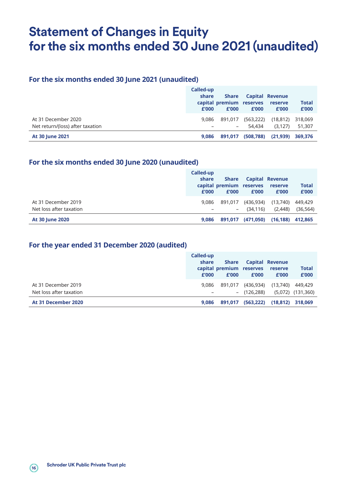## **Statement of Changes in Equity for the six months ended 30 June 2021 (unaudited)**

## **For the six months ended 30 June 2021 (unaudited)**

|                                                         | Called-up<br>share<br>£'000 | <b>Share</b><br>capital premium reserves<br>£'000 | £'000                | <b>Capital Revenue</b><br>reserve<br>£'000 | <b>Total</b><br>£'000 |
|---------------------------------------------------------|-----------------------------|---------------------------------------------------|----------------------|--------------------------------------------|-----------------------|
| At 31 December 2020<br>Net return/(loss) after taxation | 9.086                       | 891.017<br>-                                      | (563, 222)<br>54.434 | (18, 812)<br>(3.127)                       | 318,069<br>51,307     |
| <b>At 30 June 2021</b>                                  | 9.086                       | 891.017                                           | (508, 788)           | (21, 939)                                  | 369,376               |

## **For the six months ended 30 June 2020 (unaudited)**

|                         | Called-up<br>share<br>£'000 | <b>Share</b><br>capital premium reserves<br>£'000 | £'000     | <b>Capital Revenue</b><br>reserve<br>£'000 | <b>Total</b><br>£'000 |
|-------------------------|-----------------------------|---------------------------------------------------|-----------|--------------------------------------------|-----------------------|
| At 31 December 2019     | 9.086                       | 891.017                                           | (436,934) | (13,740)                                   | 449,429               |
| Net loss after taxation |                             | $\sim$                                            | (34, 116) | (2, 448)                                   | (36, 564)             |
| <b>At 30 June 2020</b>  | 9.086                       | 891,017                                           | (471,050) | (16, 188)                                  | 412.865               |

## **For the year ended 31 December 2020 (audited)**

|                         | Called-up<br>share<br>£'000 | Share<br>capital premium reserves<br>£'000 | £'000         | <b>Capital Revenue</b><br>reserve<br>£'000 | <b>Total</b><br>£'000 |
|-------------------------|-----------------------------|--------------------------------------------|---------------|--------------------------------------------|-----------------------|
| At 31 December 2019     | 9.086                       | 891.017                                    | (436,934)     | (13,740)                                   | 449.429               |
| Net loss after taxation |                             |                                            | $-$ (126,288) |                                            | $(5,072)$ $(131,360)$ |
| At 31 December 2020     | 9.086                       | 891.017                                    | (563, 222)    | (18, 812)                                  | 318,069               |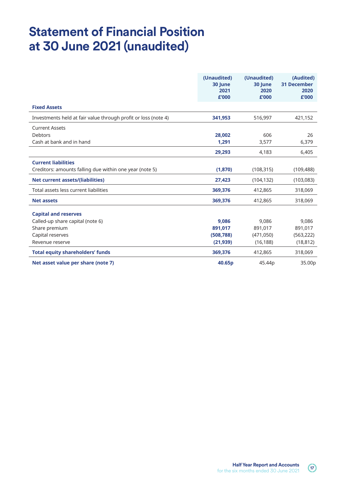## **Statement of Financial Position at 30 June 2021 (unaudited)**

|                                                                | (Unaudited)<br>30 June<br>2021<br>£'000 | (Unaudited)<br>30 June<br>2020<br>£'000 | (Audited)<br><b>31 December</b><br>2020<br>£'000 |
|----------------------------------------------------------------|-----------------------------------------|-----------------------------------------|--------------------------------------------------|
| <b>Fixed Assets</b>                                            |                                         |                                         |                                                  |
| Investments held at fair value through profit or loss (note 4) | 341,953                                 | 516,997                                 | 421,152                                          |
| <b>Current Assets</b>                                          |                                         |                                         |                                                  |
| <b>Debtors</b>                                                 | 28,002                                  | 606                                     | 26                                               |
| Cash at bank and in hand                                       | 1,291                                   | 3,577                                   | 6,379                                            |
|                                                                | 29,293                                  | 4,183                                   | 6,405                                            |
| <b>Current liabilities</b>                                     |                                         |                                         |                                                  |
| Creditors: amounts falling due within one year (note 5)        | (1,870)                                 | (108, 315)                              | (109, 488)                                       |
| <b>Net current assets/(liabilities)</b>                        | 27,423                                  | (104, 132)                              | (103, 083)                                       |
| Total assets less current liabilities                          | 369,376                                 | 412,865                                 | 318,069                                          |
| <b>Net assets</b>                                              | 369,376                                 | 412,865                                 | 318,069                                          |
| <b>Capital and reserves</b>                                    |                                         |                                         |                                                  |
| Called-up share capital (note 6)                               | 9.086                                   | 9.086                                   | 9.086                                            |
| Share premium                                                  | 891,017                                 | 891,017                                 | 891,017                                          |
| Capital reserves                                               | (508, 788)                              | (471,050)                               | (563, 222)                                       |
| Revenue reserve                                                | (21, 939)                               | (16, 188)                               | (18, 812)                                        |
| <b>Total equity shareholders' funds</b>                        | 369,376                                 | 412,865                                 | 318,069                                          |
| Net asset value per share (note 7)                             | 40.65p                                  | 45.44p                                  | 35.00p                                           |

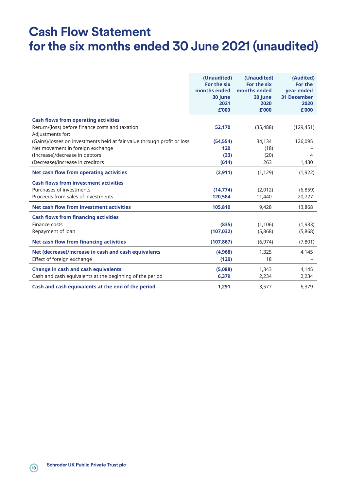## **Cash Flow Statement for the six months ended 30 June 2021 (unaudited)**

|                                                                         | (Unaudited)<br>For the six<br>months ended<br>30 June<br>2021<br>£'000 | (Unaudited)<br>For the six<br>months ended<br>30 June<br>2020<br>£'000 | (Audited)<br>For the<br><b>vear ended</b><br><b>31 December</b><br>2020<br>£'000 |
|-------------------------------------------------------------------------|------------------------------------------------------------------------|------------------------------------------------------------------------|----------------------------------------------------------------------------------|
| <b>Cash flows from operating activities</b>                             |                                                                        |                                                                        |                                                                                  |
| Return/(loss) before finance costs and taxation<br>Adjustments for:     | 52,170                                                                 | (35, 488)                                                              | (129, 451)                                                                       |
| (Gains)/losses on investments held at fair value through profit or loss | (54, 554)                                                              | 34,134                                                                 | 126,095                                                                          |
| Net movement in foreign exchange                                        | 120                                                                    | (18)                                                                   |                                                                                  |
| (Increase)/decrease in debtors                                          | (33)                                                                   | (20)                                                                   | 4                                                                                |
| (Decrease)/increase in creditors                                        | (614)                                                                  | 263                                                                    | 1,430                                                                            |
| Net cash flow from operating activities                                 | (2,911)                                                                | (1, 129)                                                               | (1, 922)                                                                         |
| <b>Cash flows from investment activities</b>                            |                                                                        |                                                                        |                                                                                  |
| Purchases of investments                                                | (14, 774)                                                              | (2,012)                                                                | (6,859)                                                                          |
| Proceeds from sales of investments                                      | 120.584                                                                | 11,440                                                                 | 20,727                                                                           |
| Net cash flow from investment activities                                | 105,810                                                                | 9,428                                                                  | 13,868                                                                           |
| <b>Cash flows from financing activities</b>                             |                                                                        |                                                                        |                                                                                  |
| Finance costs                                                           | (835)                                                                  | (1, 106)                                                               | (1,933)                                                                          |
| Repayment of loan                                                       | (107, 032)                                                             | (5,868)                                                                | (5,868)                                                                          |
| <b>Net cash flow from financing activities</b>                          | (107, 867)                                                             | (6, 974)                                                               | (7,801)                                                                          |
| Net (decrease)/increase in cash and cash equivalents                    | (4,968)                                                                | 1,325                                                                  | 4,145                                                                            |
| Effect of foreign exchange                                              | (120)                                                                  | 18                                                                     |                                                                                  |
| <b>Change in cash and cash equivalents</b>                              | (5,088)                                                                | 1,343                                                                  | 4,145                                                                            |
| Cash and cash equivalents at the beginning of the period                | 6,379                                                                  | 2,234                                                                  | 2,234                                                                            |
| Cash and cash equivalents at the end of the period                      | 1,291                                                                  | 3,577                                                                  | 6,379                                                                            |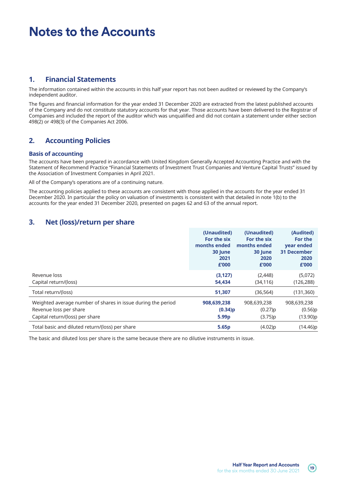## **1. Financial Statements**

The information contained within the accounts in this half year report has not been audited or reviewed by the Company's independent auditor.

The figures and financial information for the year ended 31 December 2020 are extracted from the latest published accounts of the Company and do not constitute statutory accounts for that year. Those accounts have been delivered to the Registrar of Companies and included the report of the auditor which was unqualified and did not contain a statement under either section 498(2) or 498(3) of the Companies Act 2006.

## **2. Accounting Policies**

#### **Basis of accounting**

The accounts have been prepared in accordance with United Kingdom Generally Accepted Accounting Practice and with the Statement of Recommend Practice "Financial Statements of Investment Trust Companies and Venture Capital Trusts" issued by the Association of Investment Companies in April 2021.

All of the Company's operations are of a continuing nature.

The accounting policies applied to these accounts are consistent with those applied in the accounts for the year ended 31 December 2020. In particular the policy on valuation of investments is consistent with that detailed in note 1(b) to the accounts for the year ended 31 December 2020, presented on pages 62 and 63 of the annual report.

## **3. Net (loss)/return per share**

|                                                              | (Unaudited)  | (Unaudited)  | (Audited)          |
|--------------------------------------------------------------|--------------|--------------|--------------------|
|                                                              | For the six  | For the six  | For the            |
|                                                              | months ended | months ended | year ended         |
|                                                              | 30 June      | 30 June      | <b>31 December</b> |
|                                                              | 2021         | 2020         | 2020               |
|                                                              | £'000        | £'000        | £'000              |
| Revenue loss                                                 | (3, 127)     | (2, 448)     | (5,072)            |
| Capital return/(loss)                                        | 54,434       | (34, 116)    | (126, 288)         |
| Total return/(loss)                                          | 51,307       | (36,564)     | (131, 360)         |
| Weighted average number of shares in issue during the period | 908,639,238  | 908,639,238  | 908,639,238        |
| Revenue loss per share                                       | (0.34)p      | (0.27)p      | (0.56)p            |
| Capital return/(loss) per share                              | 5.99p        | (3.75)p      | (13.90)p           |
| Total basic and diluted return/(loss) per share              | 5.65p        | (4.02)p      | (14.46)p           |

The basic and diluted loss per share is the same because there are no dilutive instruments in issue.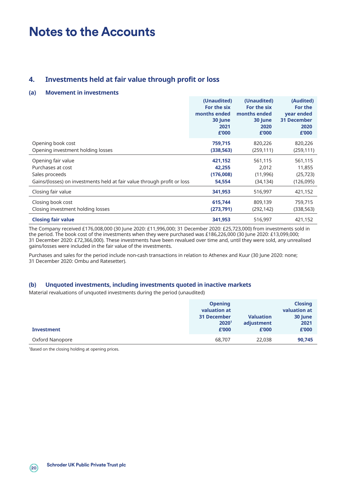## **4. Investments held at fair value through profit or loss**

#### **(a) Movement in investments**

|                                                                         | (Unaudited)<br>For the six<br>months ended<br>30 June<br>2021<br>£'000 | (Unaudited)<br>For the six<br>months ended<br>30 June<br>2020<br>£'000 | (Audited)<br>For the<br>year ended<br><b>31 December</b><br>2020<br>£'000 |
|-------------------------------------------------------------------------|------------------------------------------------------------------------|------------------------------------------------------------------------|---------------------------------------------------------------------------|
| Opening book cost                                                       | 759,715                                                                | 820,226                                                                | 820,226                                                                   |
| Opening investment holding losses                                       | (338, 563)                                                             | (259, 111)                                                             | (259, 111)                                                                |
| Opening fair value                                                      | 421,152                                                                | 561,115                                                                | 561,115                                                                   |
| Purchases at cost                                                       | 42,255                                                                 | 2,012                                                                  | 11,855                                                                    |
| Sales proceeds                                                          | (176,008)                                                              | (11,996)                                                               | (25, 723)                                                                 |
| Gains/(losses) on investments held at fair value through profit or loss | 54,554                                                                 | (34, 134)                                                              | (126,095)                                                                 |
| Closing fair value                                                      | 341,953                                                                | 516,997                                                                | 421,152                                                                   |
| Closing book cost                                                       | 615,744                                                                | 809,139                                                                | 759,715                                                                   |
| Closing investment holding losses                                       | (273,791)                                                              | (292,142)                                                              | (338,563)                                                                 |
| <b>Closing fair value</b>                                               | 341,953                                                                | 516,997                                                                | 421,152                                                                   |

The Company received £176,008,000 (30 June 2020: £11,996,000; 31 December 2020: £25,723,000) from investments sold in the period. The book cost of the investments when they were purchased was £186,226,000 (30 June 2020: £13,099,000; 31 December 2020: £72,366,000). These investments have been revalued over time and, until they were sold, any unrealised gains/losses were included in the fair value of the investments.

Purchases and sales for the period include non-cash transactions in relation to Athenex and Kuur (30 June 2020: none; 31 December 2020: Ombu and Ratesetter).

#### **(b) Unquoted investments, including investments quoted in inactive markets**

Material revaluations of unquoted investments during the period (unaudited)

|                   | <b>Opening</b>     |                  | <b>Closing</b> |
|-------------------|--------------------|------------------|----------------|
|                   | valuation at       |                  | valuation at   |
|                   | <b>31 December</b> | <b>Valuation</b> | 30 June        |
|                   | 2020 <sup>1</sup>  | adjustment       | 2021           |
| <b>Investment</b> | £'000              | £'000            | £'000          |
| Oxford Nanopore   | 68,707             | 22,038           | 90,745         |

<sup>1</sup>Based on the closing holding at opening prices.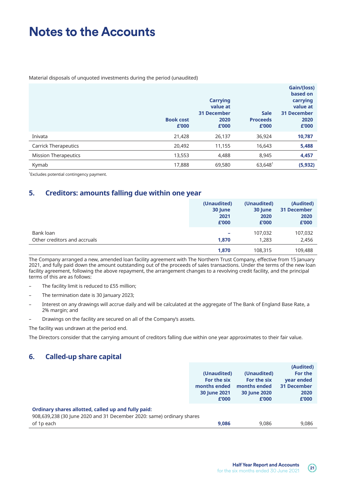Material disposals of unquoted investments during the period (unaudited)

|                             | <b>Book cost</b><br>£'000 | <b>Carrying</b><br>value at<br><b>31 December</b><br>2020<br>£'000 | <b>Sale</b><br><b>Proceeds</b><br>£'000 | Gain/(loss)<br>based on<br>carrying<br>value at<br><b>31 December</b><br>2020<br>£'000 |
|-----------------------------|---------------------------|--------------------------------------------------------------------|-----------------------------------------|----------------------------------------------------------------------------------------|
| Inivata                     | 21,428                    | 26,137                                                             | 36,924                                  | 10,787                                                                                 |
| <b>Carrick Therapeutics</b> | 20,492                    | 11,155                                                             | 16,643                                  | 5,488                                                                                  |
| <b>Mission Therapeutics</b> | 13,553                    | 4,488                                                              | 8,945                                   | 4,457                                                                                  |
| Kymab                       | 17,888                    | 69,580                                                             | $63,648^{\circ}$                        | (5, 932)                                                                               |

1 Excludes potential contingency payment.

## **5. Creditors: amounts falling due within one year**

|                              | (Unaudited)<br>30 June<br>2021<br>£'000 | (Unaudited)<br>30 June<br>2020<br>£'000 | (Audited)<br><b>31 December</b><br>2020<br>£'000 |
|------------------------------|-----------------------------------------|-----------------------------------------|--------------------------------------------------|
| Bank loan                    | -                                       | 107.032                                 | 107,032                                          |
| Other creditors and accruals | 1.870                                   | 1,283                                   | 2,456                                            |
|                              | 1,870                                   | 108,315                                 | 109,488                                          |

The Company arranged a new, amended loan facility agreement with The Northern Trust Company, effective from 15 January 2021, and fully paid down the amount outstanding out of the proceeds of sales transactions. Under the terms of the new loan facility agreement, following the above repayment, the arrangement changes to a revolving credit facility, and the principal terms of this are as follows:

- The facility limit is reduced to £55 million;
- The termination date is 30 January 2023;
- Interest on any drawings will accrue daily and will be calculated at the aggregate of The Bank of England Base Rate, a 2% margin; and
- Drawings on the facility are secured on all of the Company's assets.

The facility was undrawn at the period end.

The Directors consider that the carrying amount of creditors falling due within one year approximates to their fair value.

## **6. Called-up share capital**

|                                                                       |              |              | (Audited)          |
|-----------------------------------------------------------------------|--------------|--------------|--------------------|
|                                                                       | (Unaudited)  | (Unaudited)  | For the            |
|                                                                       | For the six  | For the six  | year ended         |
|                                                                       | months ended | months ended | <b>31 December</b> |
|                                                                       | 30 June 2021 | 30 June 2020 | 2020               |
|                                                                       | £'000        | £'000        | £'000              |
| Ordinary shares allotted, called up and fully paid:                   |              |              |                    |
| 908,639,238 (30 June 2020 and 31 December 2020: same) ordinary shares |              |              |                    |
| of 1p each                                                            | 9.086        | 9.086        | 9.086              |

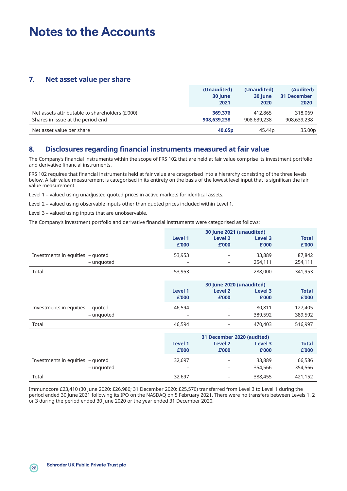## **7. Net asset value per share**

|                                                 | (Unaudited)<br>30 June<br>2021 | (Unaudited)<br>30 June<br>2020 | (Audited)<br><b>31 December</b><br>2020 |
|-------------------------------------------------|--------------------------------|--------------------------------|-----------------------------------------|
| Net assets attributable to shareholders (£'000) | 369.376                        | 412,865                        | 318,069                                 |
| Shares in issue at the period end               | 908,639,238                    | 908,639,238                    | 908,639,238                             |
| Net asset value per share                       | 40.65p                         | 45.44 <sub>p</sub>             | 35.00p                                  |

## **8. Disclosures regarding financial instruments measured at fair value**

The Company's financial instruments within the scope of FRS 102 that are held at fair value comprise its investment portfolio and derivative financial instruments.

FRS 102 requires that financial instruments held at fair value are categorised into a hierarchy consisting of the three levels below. A fair value measurement is categorised in its entirety on the basis of the lowest level input that is significan the fair value measurement.

Level 1 – valued using unadjusted quoted prices in active markets for identical assets.

Level 2 – valued using observable inputs other than quoted prices included within Level 1.

Level 3 – valued using inputs that are unobservable.

The Company's investment portfolio and derivative financial instruments were categorised as follows:

|                                  | 30 June 2021 (unaudited) |                   |                  |                       |
|----------------------------------|--------------------------|-------------------|------------------|-----------------------|
|                                  | Level 1<br>£'000         | Level 2<br>£'000  | Level 3<br>£'000 | <b>Total</b><br>£'000 |
| Investments in equities - quoted | 53,953                   | -                 | 33,889           | 87,842                |
| - unguoted                       | -                        | -                 | 254,111          | 254,111               |
| Total                            | 53,953                   | $\qquad \qquad -$ | 288,000          | 341,953               |

|                                  |         | 30 June 2020 (unaudited) |         |              |  |
|----------------------------------|---------|--------------------------|---------|--------------|--|
|                                  | Level 1 | Level 2                  | Level 3 | <b>Total</b> |  |
|                                  | £'000   | £'000                    | £'000   | £'000        |  |
| Investments in equities - quoted | 46,594  | -                        | 80,811  | 127,405      |  |
| - unguoted                       | -       |                          | 389,592 | 389,592      |  |
| Total                            | 46,594  |                          | 470,403 | 516,997      |  |

|                                  | 31 December 2020 (audited) |                  |                  |                       |
|----------------------------------|----------------------------|------------------|------------------|-----------------------|
|                                  | Level 1<br>£'000           | Level 2<br>£'000 | Level 3<br>£'000 | <b>Total</b><br>£'000 |
| Investments in equities - quoted | 32,697                     | -                | 33,889           | 66,586                |
| - unguoted                       | -                          | $\qquad \qquad$  | 354,566          | 354,566               |
| Total                            | 32,697                     |                  | 388,455          | 421,152               |

Immunocore £23,410 (30 June 2020: £26,980; 31 December 2020: £25,570) transferred from Level 3 to Level 1 during the period ended 30 June 2021 following its IPO on the NASDAQ on 5 February 2021. There were no transfers between Levels 1, 2 or 3 during the period ended 30 June 2020 or the year ended 31 December 2020.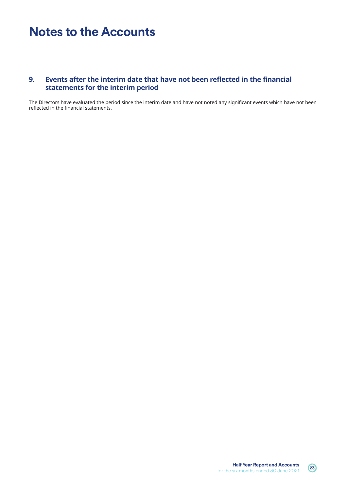## **9. Events after the interim date that have not been reflected in the financial statements for the interim period**

The Directors have evaluated the period since the interim date and have not noted any significant events which have not been reflected in the financial statements.